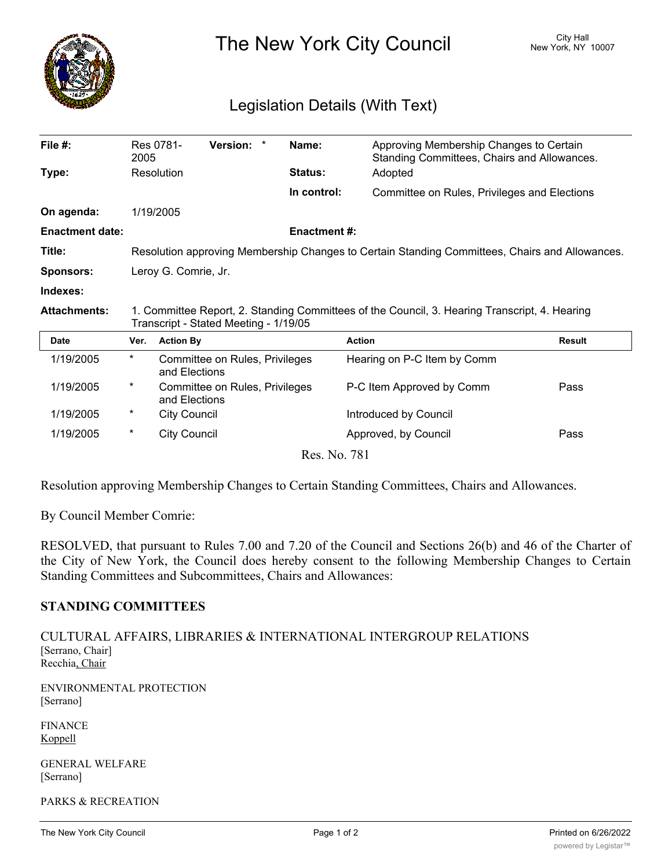

The New York City Council New York, NY 10007

# Legislation Details (With Text)

| File #:                | 2005                                                                                                                                   | Res 0781-                                       | Version: * |  | Name:               | Approving Membership Changes to Certain<br>Standing Committees, Chairs and Allowances. |               |
|------------------------|----------------------------------------------------------------------------------------------------------------------------------------|-------------------------------------------------|------------|--|---------------------|----------------------------------------------------------------------------------------|---------------|
| Type:                  |                                                                                                                                        | Resolution                                      |            |  | Status:             | Adopted                                                                                |               |
|                        |                                                                                                                                        |                                                 |            |  | In control:         | Committee on Rules, Privileges and Elections                                           |               |
| On agenda:             |                                                                                                                                        | 1/19/2005                                       |            |  |                     |                                                                                        |               |
| <b>Enactment date:</b> |                                                                                                                                        |                                                 |            |  | <b>Enactment #:</b> |                                                                                        |               |
| Title:                 | Resolution approving Membership Changes to Certain Standing Committees, Chairs and Allowances.                                         |                                                 |            |  |                     |                                                                                        |               |
| <b>Sponsors:</b>       | Leroy G. Comrie, Jr.                                                                                                                   |                                                 |            |  |                     |                                                                                        |               |
| Indexes:               |                                                                                                                                        |                                                 |            |  |                     |                                                                                        |               |
|                        | 1. Committee Report, 2. Standing Committees of the Council, 3. Hearing Transcript, 4. Hearing<br>Transcript - Stated Meeting - 1/19/05 |                                                 |            |  |                     |                                                                                        |               |
| <b>Attachments:</b>    |                                                                                                                                        |                                                 |            |  |                     |                                                                                        |               |
| <b>Date</b>            | Ver.                                                                                                                                   | <b>Action By</b>                                |            |  |                     | <b>Action</b>                                                                          | <b>Result</b> |
| 1/19/2005              | $^\star$                                                                                                                               | Committee on Rules, Privileges<br>and Elections |            |  |                     | Hearing on P-C Item by Comm                                                            |               |
| 1/19/2005              | *                                                                                                                                      | Committee on Rules, Privileges<br>and Elections |            |  |                     | P-C Item Approved by Comm                                                              | Pass          |
| 1/19/2005              | $^\star$                                                                                                                               | <b>City Council</b>                             |            |  |                     | Introduced by Council                                                                  |               |
| 1/19/2005              | $^\star$                                                                                                                               | <b>City Council</b>                             |            |  |                     | Approved, by Council                                                                   | Pass          |

Resolution approving Membership Changes to Certain Standing Committees, Chairs and Allowances.

By Council Member Comrie:

RESOLVED, that pursuant to Rules 7.00 and 7.20 of the Council and Sections 26(b) and 46 of the Charter of the City of New York, the Council does hereby consent to the following Membership Changes to Certain Standing Committees and Subcommittees, Chairs and Allowances:

# **STANDING COMMITTEES**

CULTURAL AFFAIRS, LIBRARIES & INTERNATIONAL INTERGROUP RELATIONS [Serrano, Chair] Recchia, Chair

ENVIRONMENTAL PROTECTION [Serrano]

FINANCE Koppell

GENERAL WELFARE [Serrano]

PARKS & RECREATION